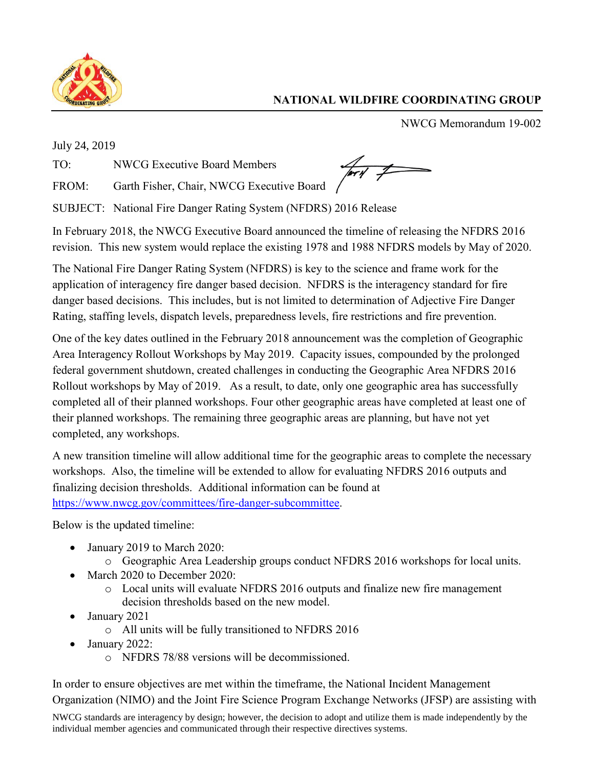

## **NATIONAL WILDFIRE COORDINATING GROUP**

NWCG Memorandum 19-002

July 24, 2019

TO: NWCG Executive Board Members

FROM: Garth Fisher, Chair, NWCG Executive Board

SUBJECT: National Fire Danger Rating System (NFDRS) 2016 Release

In February 2018, the NWCG Executive Board announced the timeline of releasing the NFDRS 2016 revision. This new system would replace the existing 1978 and 1988 NFDRS models by May of 2020.

The National Fire Danger Rating System (NFDRS) is key to the science and frame work for the application of interagency fire danger based decision. NFDRS is the interagency standard for fire danger based decisions. This includes, but is not limited to determination of Adjective Fire Danger Rating, staffing levels, dispatch levels, preparedness levels, fire restrictions and fire prevention.

One of the key dates outlined in the February 2018 announcement was the completion of Geographic Area Interagency Rollout Workshops by May 2019. Capacity issues, compounded by the prolonged federal government shutdown, created challenges in conducting the Geographic Area NFDRS 2016 Rollout workshops by May of 2019. As a result, to date, only one geographic area has successfully completed all of their planned workshops. Four other geographic areas have completed at least one of their planned workshops. The remaining three geographic areas are planning, but have not yet completed, any workshops.

A new transition timeline will allow additional time for the geographic areas to complete the necessary workshops. Also, the timeline will be extended to allow for evaluating NFDRS 2016 outputs and finalizing decision thresholds. Additional information can be found at [https://www.nwcg.gov/committees/fire-danger-subcommittee.](https://www.nwcg.gov/committees/fire-danger-subcommittee)

Below is the updated timeline:

- January 2019 to March 2020:
	- o Geographic Area Leadership groups conduct NFDRS 2016 workshops for local units.
- March 2020 to December 2020:
	- o Local units will evaluate NFDRS 2016 outputs and finalize new fire management decision thresholds based on the new model.
- January 2021
	- o All units will be fully transitioned to NFDRS 2016
- January 2022:
	- o NFDRS 78/88 versions will be decommissioned.

In order to ensure objectives are met within the timeframe, the National Incident Management Organization (NIMO) and the Joint Fire Science Program Exchange Networks (JFSP) are assisting with

NWCG standards are interagency by design; however, the decision to adopt and utilize them is made independently by the individual member agencies and communicated through their respective directives systems.